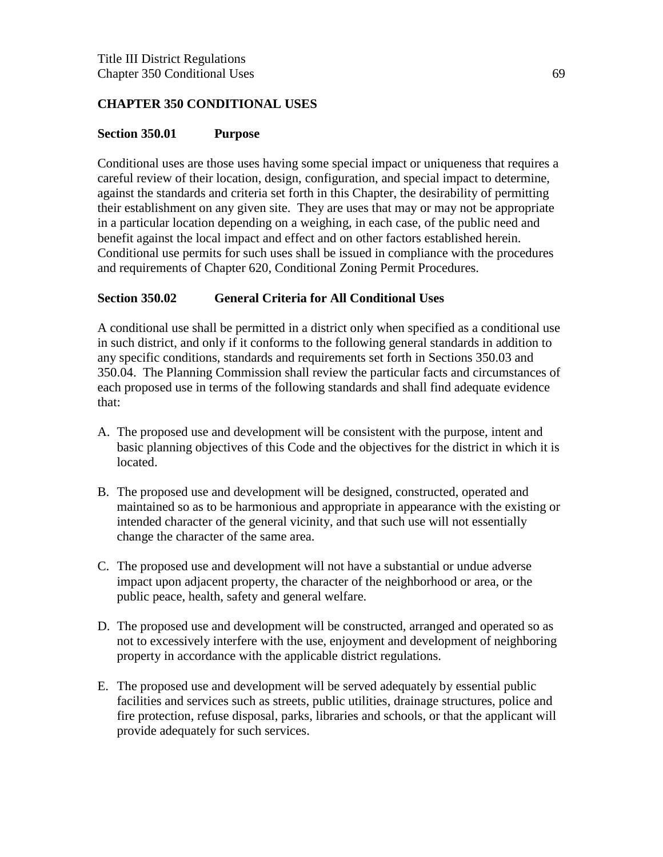### **CHAPTER 350 CONDITIONAL USES**

#### **Section 350.01 Purpose**

Conditional uses are those uses having some special impact or uniqueness that requires a careful review of their location, design, configuration, and special impact to determine, against the standards and criteria set forth in this Chapter, the desirability of permitting their establishment on any given site. They are uses that may or may not be appropriate in a particular location depending on a weighing, in each case, of the public need and benefit against the local impact and effect and on other factors established herein. Conditional use permits for such uses shall be issued in compliance with the procedures and requirements of Chapter 620, Conditional Zoning Permit Procedures.

#### **Section 350.02 General Criteria for All Conditional Uses**

A conditional use shall be permitted in a district only when specified as a conditional use in such district, and only if it conforms to the following general standards in addition to any specific conditions, standards and requirements set forth in Sections 350.03 and 350.04. The Planning Commission shall review the particular facts and circumstances of each proposed use in terms of the following standards and shall find adequate evidence that:

- A. The proposed use and development will be consistent with the purpose, intent and basic planning objectives of this Code and the objectives for the district in which it is located.
- B. The proposed use and development will be designed, constructed, operated and maintained so as to be harmonious and appropriate in appearance with the existing or intended character of the general vicinity, and that such use will not essentially change the character of the same area.
- C. The proposed use and development will not have a substantial or undue adverse impact upon adjacent property, the character of the neighborhood or area, or the public peace, health, safety and general welfare.
- D. The proposed use and development will be constructed, arranged and operated so as not to excessively interfere with the use, enjoyment and development of neighboring property in accordance with the applicable district regulations.
- E. The proposed use and development will be served adequately by essential public facilities and services such as streets, public utilities, drainage structures, police and fire protection, refuse disposal, parks, libraries and schools, or that the applicant will provide adequately for such services.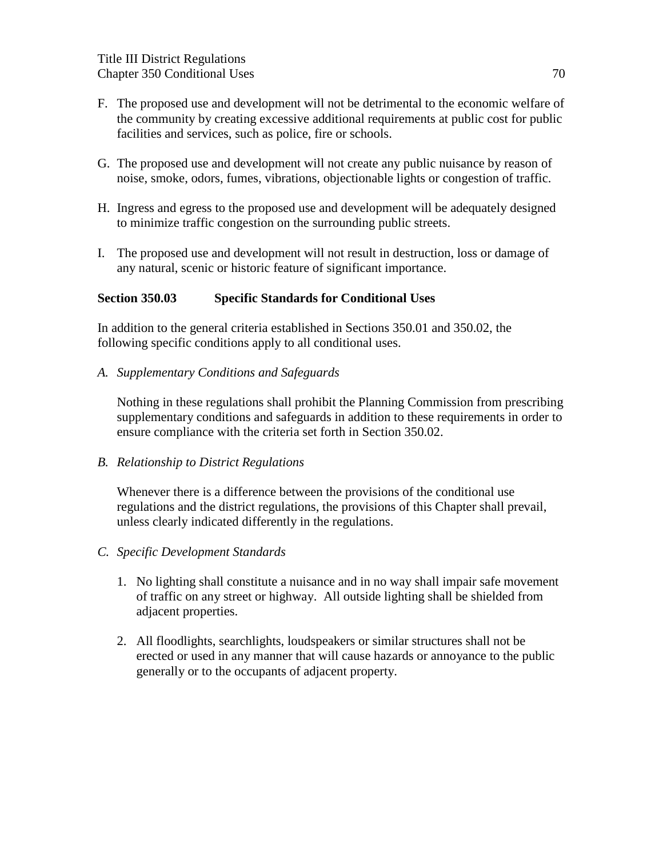- F. The proposed use and development will not be detrimental to the economic welfare of the community by creating excessive additional requirements at public cost for public facilities and services, such as police, fire or schools.
- G. The proposed use and development will not create any public nuisance by reason of noise, smoke, odors, fumes, vibrations, objectionable lights or congestion of traffic.
- H. Ingress and egress to the proposed use and development will be adequately designed to minimize traffic congestion on the surrounding public streets.
- I. The proposed use and development will not result in destruction, loss or damage of any natural, scenic or historic feature of significant importance.

### **Section 350.03 Specific Standards for Conditional Uses**

In addition to the general criteria established in Sections 350.01 and 350.02, the following specific conditions apply to all conditional uses.

*A. Supplementary Conditions and Safeguards*

Nothing in these regulations shall prohibit the Planning Commission from prescribing supplementary conditions and safeguards in addition to these requirements in order to ensure compliance with the criteria set forth in Section 350.02.

*B. Relationship to District Regulations*

Whenever there is a difference between the provisions of the conditional use regulations and the district regulations, the provisions of this Chapter shall prevail, unless clearly indicated differently in the regulations.

- *C. Specific Development Standards*
	- 1. No lighting shall constitute a nuisance and in no way shall impair safe movement of traffic on any street or highway. All outside lighting shall be shielded from adjacent properties.
	- 2. All floodlights, searchlights, loudspeakers or similar structures shall not be erected or used in any manner that will cause hazards or annoyance to the public generally or to the occupants of adjacent property.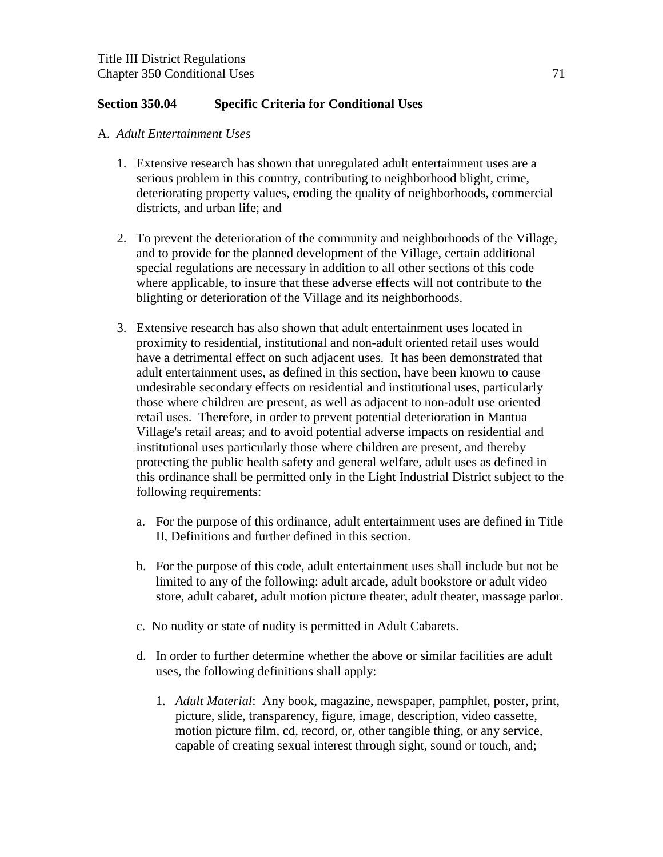### **Section 350.04 Specific Criteria for Conditional Uses**

#### A. *Adult Entertainment Uses*

- 1. Extensive research has shown that unregulated adult entertainment uses are a serious problem in this country, contributing to neighborhood blight, crime, deteriorating property values, eroding the quality of neighborhoods, commercial districts, and urban life; and
- 2. To prevent the deterioration of the community and neighborhoods of the Village, and to provide for the planned development of the Village, certain additional special regulations are necessary in addition to all other sections of this code where applicable, to insure that these adverse effects will not contribute to the blighting or deterioration of the Village and its neighborhoods.
- 3. Extensive research has also shown that adult entertainment uses located in proximity to residential, institutional and non-adult oriented retail uses would have a detrimental effect on such adjacent uses. It has been demonstrated that adult entertainment uses, as defined in this section, have been known to cause undesirable secondary effects on residential and institutional uses, particularly those where children are present, as well as adjacent to non-adult use oriented retail uses. Therefore, in order to prevent potential deterioration in Mantua Village's retail areas; and to avoid potential adverse impacts on residential and institutional uses particularly those where children are present, and thereby protecting the public health safety and general welfare, adult uses as defined in this ordinance shall be permitted only in the Light Industrial District subject to the following requirements:
	- a. For the purpose of this ordinance, adult entertainment uses are defined in Title II, Definitions and further defined in this section.
	- b. For the purpose of this code, adult entertainment uses shall include but not be limited to any of the following: adult arcade, adult bookstore or adult video store, adult cabaret, adult motion picture theater, adult theater, massage parlor.
	- c. No nudity or state of nudity is permitted in Adult Cabarets.
	- d. In order to further determine whether the above or similar facilities are adult uses, the following definitions shall apply:
		- 1. *Adult Material*: Any book, magazine, newspaper, pamphlet, poster, print, picture, slide, transparency, figure, image, description, video cassette, motion picture film, cd, record, or, other tangible thing, or any service, capable of creating sexual interest through sight, sound or touch, and;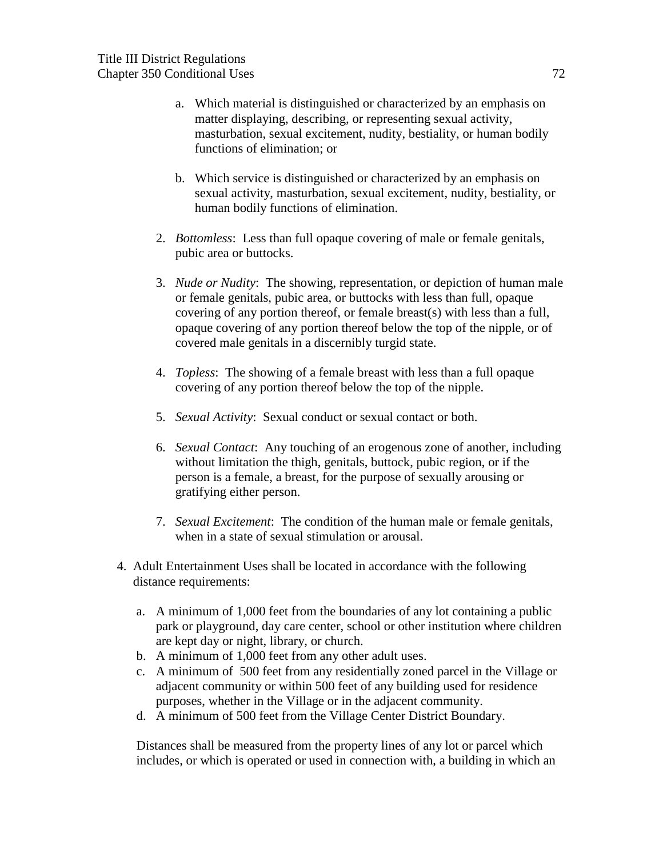- a. Which material is distinguished or characterized by an emphasis on matter displaying, describing, or representing sexual activity, masturbation, sexual excitement, nudity, bestiality, or human bodily functions of elimination; or
- b. Which service is distinguished or characterized by an emphasis on sexual activity, masturbation, sexual excitement, nudity, bestiality, or human bodily functions of elimination.
- 2. *Bottomless*: Less than full opaque covering of male or female genitals, pubic area or buttocks.
- 3. *Nude or Nudity*: The showing, representation, or depiction of human male or female genitals, pubic area, or buttocks with less than full, opaque covering of any portion thereof, or female breast(s) with less than a full, opaque covering of any portion thereof below the top of the nipple, or of covered male genitals in a discernibly turgid state.
- 4. *Topless*: The showing of a female breast with less than a full opaque covering of any portion thereof below the top of the nipple.
- 5. *Sexual Activity*: Sexual conduct or sexual contact or both.
- 6. *Sexual Contact*: Any touching of an erogenous zone of another, including without limitation the thigh, genitals, buttock, pubic region, or if the person is a female, a breast, for the purpose of sexually arousing or gratifying either person.
- 7. *Sexual Excitement*: The condition of the human male or female genitals, when in a state of sexual stimulation or arousal.
- 4. Adult Entertainment Uses shall be located in accordance with the following distance requirements:
	- a. A minimum of 1,000 feet from the boundaries of any lot containing a public park or playground, day care center, school or other institution where children are kept day or night, library, or church.
	- b. A minimum of 1,000 feet from any other adult uses.
	- c. A minimum of 500 feet from any residentially zoned parcel in the Village or adjacent community or within 500 feet of any building used for residence purposes, whether in the Village or in the adjacent community.
	- d. A minimum of 500 feet from the Village Center District Boundary.

 Distances shall be measured from the property lines of any lot or parcel which includes, or which is operated or used in connection with, a building in which an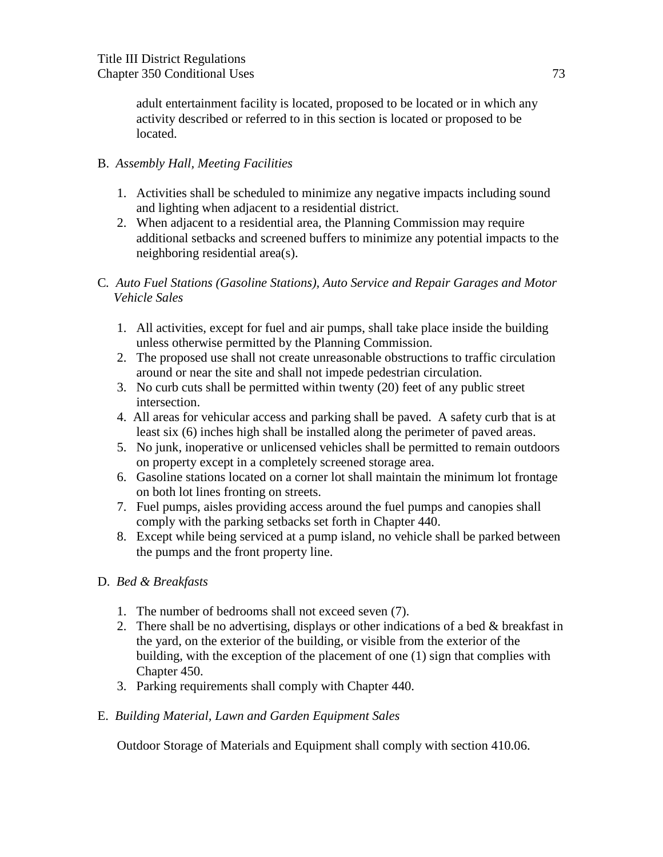adult entertainment facility is located, proposed to be located or in which any activity described or referred to in this section is located or proposed to be located.

### B. *Assembly Hall, Meeting Facilities*

- 1. Activities shall be scheduled to minimize any negative impacts including sound and lighting when adjacent to a residential district.
- 2. When adjacent to a residential area, the Planning Commission may require additional setbacks and screened buffers to minimize any potential impacts to the neighboring residential area(s).
- C*. Auto Fuel Stations (Gasoline Stations), Auto Service and Repair Garages and Motor Vehicle Sales*
	- 1. All activities, except for fuel and air pumps, shall take place inside the building unless otherwise permitted by the Planning Commission.
	- 2. The proposed use shall not create unreasonable obstructions to traffic circulation around or near the site and shall not impede pedestrian circulation.
	- 3. No curb cuts shall be permitted within twenty (20) feet of any public street intersection.
	- 4. All areas for vehicular access and parking shall be paved. A safety curb that is at least six (6) inches high shall be installed along the perimeter of paved areas.
	- 5. No junk, inoperative or unlicensed vehicles shall be permitted to remain outdoors on property except in a completely screened storage area.
	- 6. Gasoline stations located on a corner lot shall maintain the minimum lot frontage on both lot lines fronting on streets.
	- 7. Fuel pumps, aisles providing access around the fuel pumps and canopies shall comply with the parking setbacks set forth in Chapter 440.
	- 8. Except while being serviced at a pump island, no vehicle shall be parked between the pumps and the front property line.
- D. *Bed & Breakfasts*
	- 1. The number of bedrooms shall not exceed seven (7).
	- 2. There shall be no advertising, displays or other indications of a bed  $\&$  breakfast in the yard, on the exterior of the building, or visible from the exterior of the building, with the exception of the placement of one (1) sign that complies with Chapter 450.
	- 3. Parking requirements shall comply with Chapter 440.
- E. *Building Material, Lawn and Garden Equipment Sales*

Outdoor Storage of Materials and Equipment shall comply with section 410.06.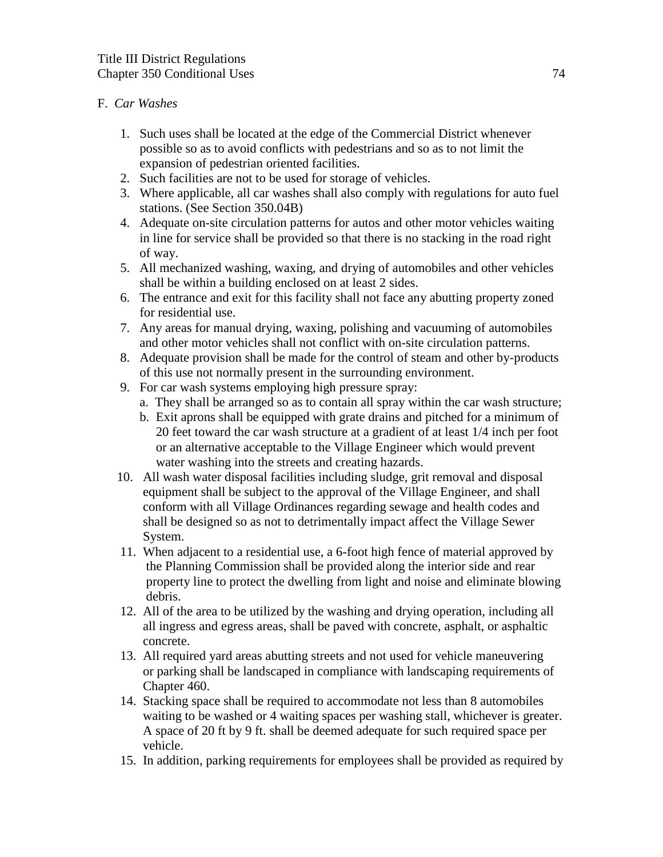### F. *Car Washes*

- 1. Such uses shall be located at the edge of the Commercial District whenever possible so as to avoid conflicts with pedestrians and so as to not limit the expansion of pedestrian oriented facilities.
- 2. Such facilities are not to be used for storage of vehicles.
- 3. Where applicable, all car washes shall also comply with regulations for auto fuel stations. (See Section 350.04B)
- 4. Adequate on-site circulation patterns for autos and other motor vehicles waiting in line for service shall be provided so that there is no stacking in the road right of way.
- 5. All mechanized washing, waxing, and drying of automobiles and other vehicles shall be within a building enclosed on at least 2 sides.
- 6. The entrance and exit for this facility shall not face any abutting property zoned for residential use.
- 7. Any areas for manual drying, waxing, polishing and vacuuming of automobiles and other motor vehicles shall not conflict with on-site circulation patterns.
- 8. Adequate provision shall be made for the control of steam and other by-products of this use not normally present in the surrounding environment.
- 9. For car wash systems employing high pressure spray:
	- a. They shall be arranged so as to contain all spray within the car wash structure;
	- b. Exit aprons shall be equipped with grate drains and pitched for a minimum of 20 feet toward the car wash structure at a gradient of at least 1/4 inch per foot or an alternative acceptable to the Village Engineer which would prevent water washing into the streets and creating hazards.
- 10. All wash water disposal facilities including sludge, grit removal and disposal equipment shall be subject to the approval of the Village Engineer, and shall conform with all Village Ordinances regarding sewage and health codes and shall be designed so as not to detrimentally impact affect the Village Sewer System.
- 11. When adjacent to a residential use, a 6-foot high fence of material approved by the Planning Commission shall be provided along the interior side and rear property line to protect the dwelling from light and noise and eliminate blowing debris.
- 12. All of the area to be utilized by the washing and drying operation, including all all ingress and egress areas, shall be paved with concrete, asphalt, or asphaltic concrete.
- 13. All required yard areas abutting streets and not used for vehicle maneuvering or parking shall be landscaped in compliance with landscaping requirements of Chapter 460.
- 14. Stacking space shall be required to accommodate not less than 8 automobiles waiting to be washed or 4 waiting spaces per washing stall, whichever is greater. A space of 20 ft by 9 ft. shall be deemed adequate for such required space per vehicle.
- 15. In addition, parking requirements for employees shall be provided as required by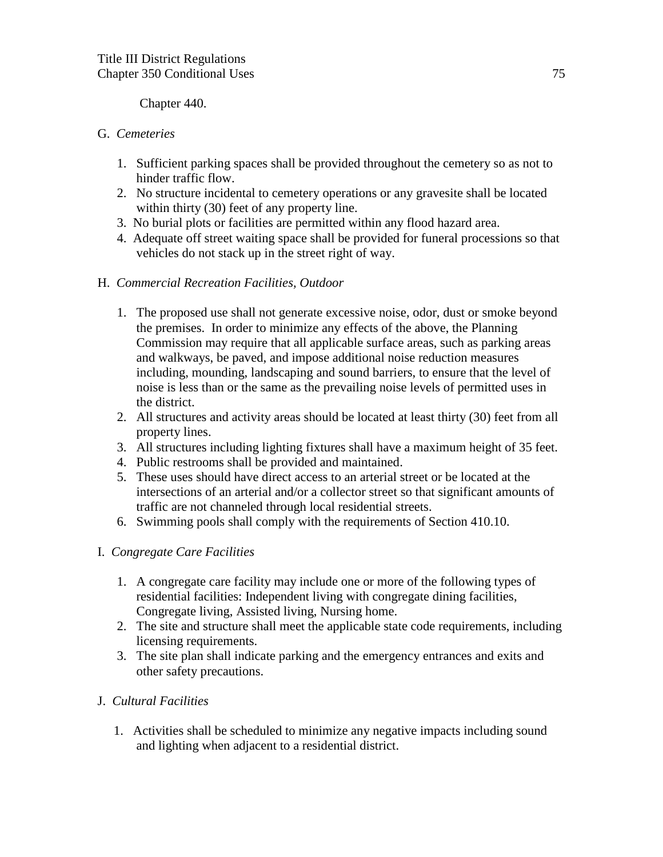Chapter 440.

### G. *Cemeteries*

- 1. Sufficient parking spaces shall be provided throughout the cemetery so as not to hinder traffic flow.
- 2. No structure incidental to cemetery operations or any gravesite shall be located within thirty (30) feet of any property line.
- 3. No burial plots or facilities are permitted within any flood hazard area.
- 4. Adequate off street waiting space shall be provided for funeral processions so that vehicles do not stack up in the street right of way.

### H. *Commercial Recreation Facilities, Outdoor*

- 1. The proposed use shall not generate excessive noise, odor, dust or smoke beyond the premises. In order to minimize any effects of the above, the Planning Commission may require that all applicable surface areas, such as parking areas and walkways, be paved, and impose additional noise reduction measures including, mounding, landscaping and sound barriers, to ensure that the level of noise is less than or the same as the prevailing noise levels of permitted uses in the district.
- 2. All structures and activity areas should be located at least thirty (30) feet from all property lines.
- 3. All structures including lighting fixtures shall have a maximum height of 35 feet.
- 4. Public restrooms shall be provided and maintained.
- 5. These uses should have direct access to an arterial street or be located at the intersections of an arterial and/or a collector street so that significant amounts of traffic are not channeled through local residential streets.
- 6. Swimming pools shall comply with the requirements of Section 410.10.

# I. *Congregate Care Facilities*

- 1. A congregate care facility may include one or more of the following types of residential facilities: Independent living with congregate dining facilities, Congregate living, Assisted living, Nursing home.
- 2. The site and structure shall meet the applicable state code requirements, including licensing requirements.
- 3. The site plan shall indicate parking and the emergency entrances and exits and other safety precautions.

### J. *Cultural Facilities*

 1. Activities shall be scheduled to minimize any negative impacts including sound and lighting when adjacent to a residential district.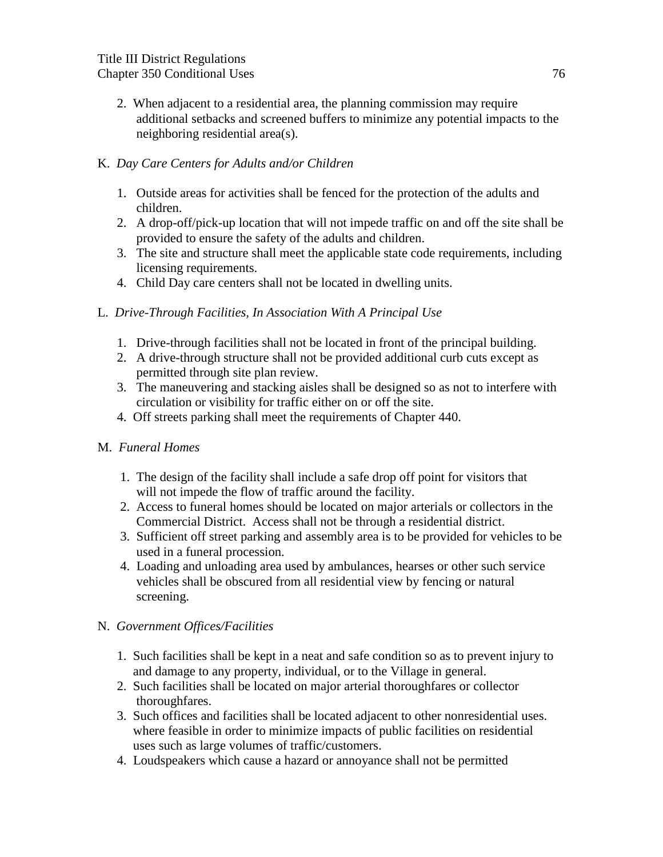2. When adjacent to a residential area, the planning commission may require additional setbacks and screened buffers to minimize any potential impacts to the neighboring residential area(s).

# K. *Day Care Centers for Adults and/or Children*

- 1. Outside areas for activities shall be fenced for the protection of the adults and children.
- 2. A drop-off/pick-up location that will not impede traffic on and off the site shall be provided to ensure the safety of the adults and children.
- 3. The site and structure shall meet the applicable state code requirements, including licensing requirements.
- 4. Child Day care centers shall not be located in dwelling units.

### L. *Drive-Through Facilities, In Association With A Principal Use*

- 1. Drive-through facilities shall not be located in front of the principal building.
- 2. A drive-through structure shall not be provided additional curb cuts except as permitted through site plan review.
- 3. The maneuvering and stacking aisles shall be designed so as not to interfere with circulation or visibility for traffic either on or off the site.
- 4. Off streets parking shall meet the requirements of Chapter 440.

### M. *Funeral Homes*

- 1. The design of the facility shall include a safe drop off point for visitors that will not impede the flow of traffic around the facility.
- 2. Access to funeral homes should be located on major arterials or collectors in the Commercial District. Access shall not be through a residential district.
- 3. Sufficient off street parking and assembly area is to be provided for vehicles to be used in a funeral procession.
- 4. Loading and unloading area used by ambulances, hearses or other such service vehicles shall be obscured from all residential view by fencing or natural screening.

### N. *Government Offices/Facilities*

- 1. Such facilities shall be kept in a neat and safe condition so as to prevent injury to and damage to any property, individual, or to the Village in general.
- 2. Such facilities shall be located on major arterial thoroughfares or collector thoroughfares.
- 3. Such offices and facilities shall be located adjacent to other nonresidential uses. where feasible in order to minimize impacts of public facilities on residential uses such as large volumes of traffic/customers.
- 4. Loudspeakers which cause a hazard or annoyance shall not be permitted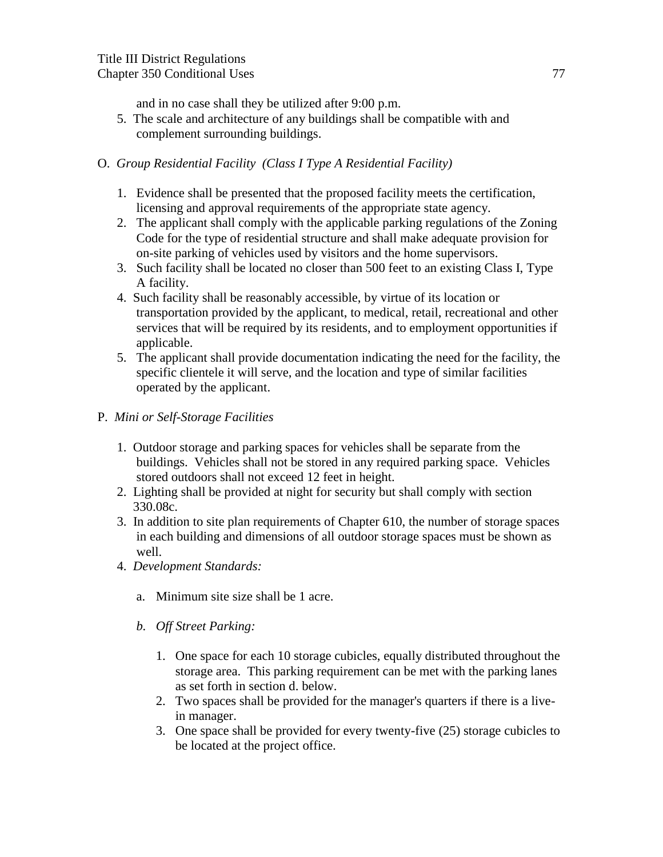and in no case shall they be utilized after 9:00 p.m.

 5. The scale and architecture of any buildings shall be compatible with and complement surrounding buildings.

# O. *Group Residential Facility (Class I Type A Residential Facility)*

- 1. Evidence shall be presented that the proposed facility meets the certification, licensing and approval requirements of the appropriate state agency.
- 2. The applicant shall comply with the applicable parking regulations of the Zoning Code for the type of residential structure and shall make adequate provision for on-site parking of vehicles used by visitors and the home supervisors.
- 3. Such facility shall be located no closer than 500 feet to an existing Class I, Type A facility.
- 4. Such facility shall be reasonably accessible, by virtue of its location or transportation provided by the applicant, to medical, retail, recreational and other services that will be required by its residents, and to employment opportunities if applicable.
- 5. The applicant shall provide documentation indicating the need for the facility, the specific clientele it will serve, and the location and type of similar facilities operated by the applicant.
- P. *Mini or Self-Storage Facilities*
	- 1. Outdoor storage and parking spaces for vehicles shall be separate from the buildings. Vehicles shall not be stored in any required parking space. Vehicles stored outdoors shall not exceed 12 feet in height.
	- 2. Lighting shall be provided at night for security but shall comply with section 330.08c.
	- 3. In addition to site plan requirements of Chapter 610, the number of storage spaces in each building and dimensions of all outdoor storage spaces must be shown as well.
	- 4. *Development Standards:*
		- a. Minimum site size shall be 1 acre.
		- *b. Off Street Parking:*
			- 1. One space for each 10 storage cubicles, equally distributed throughout the storage area. This parking requirement can be met with the parking lanes as set forth in section d. below.
			- 2. Two spaces shall be provided for the manager's quarters if there is a livein manager.
			- 3. One space shall be provided for every twenty-five (25) storage cubicles to be located at the project office.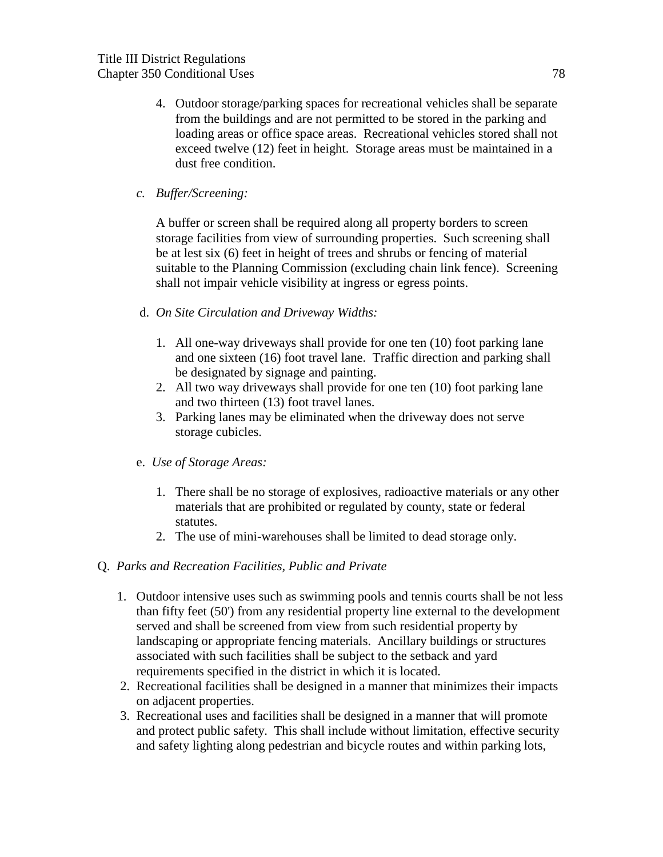- 4. Outdoor storage/parking spaces for recreational vehicles shall be separate from the buildings and are not permitted to be stored in the parking and loading areas or office space areas. Recreational vehicles stored shall not exceed twelve (12) feet in height. Storage areas must be maintained in a dust free condition.
- *c. Buffer/Screening:*

A buffer or screen shall be required along all property borders to screen storage facilities from view of surrounding properties. Such screening shall be at lest six (6) feet in height of trees and shrubs or fencing of material suitable to the Planning Commission (excluding chain link fence). Screening shall not impair vehicle visibility at ingress or egress points.

- d. *On Site Circulation and Driveway Widths:*
	- 1. All one-way driveways shall provide for one ten (10) foot parking lane and one sixteen (16) foot travel lane. Traffic direction and parking shall be designated by signage and painting.
	- 2. All two way driveways shall provide for one ten (10) foot parking lane and two thirteen (13) foot travel lanes.
	- 3. Parking lanes may be eliminated when the driveway does not serve storage cubicles.
- e. *Use of Storage Areas:*
	- 1. There shall be no storage of explosives, radioactive materials or any other materials that are prohibited or regulated by county, state or federal statutes.
	- 2. The use of mini-warehouses shall be limited to dead storage only.
- Q. *Parks and Recreation Facilities, Public and Private*
	- 1. Outdoor intensive uses such as swimming pools and tennis courts shall be not less than fifty feet (50') from any residential property line external to the development served and shall be screened from view from such residential property by landscaping or appropriate fencing materials. Ancillary buildings or structures associated with such facilities shall be subject to the setback and yard requirements specified in the district in which it is located.
	- 2. Recreational facilities shall be designed in a manner that minimizes their impacts on adjacent properties.
	- 3. Recreational uses and facilities shall be designed in a manner that will promote and protect public safety. This shall include without limitation, effective security and safety lighting along pedestrian and bicycle routes and within parking lots,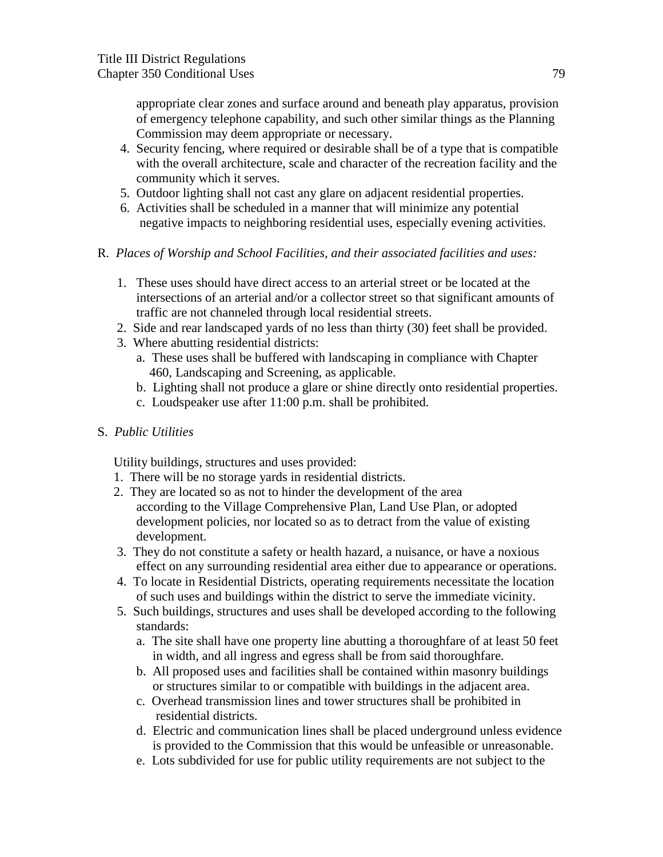appropriate clear zones and surface around and beneath play apparatus, provision of emergency telephone capability, and such other similar things as the Planning Commission may deem appropriate or necessary.

- 4. Security fencing, where required or desirable shall be of a type that is compatible with the overall architecture, scale and character of the recreation facility and the community which it serves.
- 5. Outdoor lighting shall not cast any glare on adjacent residential properties.
- 6. Activities shall be scheduled in a manner that will minimize any potential negative impacts to neighboring residential uses, especially evening activities.
- R. *Places of Worship and School Facilities, and their associated facilities and uses:* 
	- 1. These uses should have direct access to an arterial street or be located at the intersections of an arterial and/or a collector street so that significant amounts of traffic are not channeled through local residential streets.
	- 2. Side and rear landscaped yards of no less than thirty (30) feet shall be provided.
	- 3. Where abutting residential districts:
		- a. These uses shall be buffered with landscaping in compliance with Chapter 460, Landscaping and Screening, as applicable.
		- b. Lighting shall not produce a glare or shine directly onto residential properties.
		- c. Loudspeaker use after 11:00 p.m. shall be prohibited.
- S. *Public Utilities*

Utility buildings, structures and uses provided:

- 1. There will be no storage yards in residential districts.
- 2. They are located so as not to hinder the development of the area according to the Village Comprehensive Plan, Land Use Plan, or adopted development policies, nor located so as to detract from the value of existing development.
- 3. They do not constitute a safety or health hazard, a nuisance, or have a noxious effect on any surrounding residential area either due to appearance or operations.
- 4. To locate in Residential Districts, operating requirements necessitate the location of such uses and buildings within the district to serve the immediate vicinity.
- 5. Such buildings, structures and uses shall be developed according to the following standards:
	- a. The site shall have one property line abutting a thoroughfare of at least 50 feet in width, and all ingress and egress shall be from said thoroughfare.
	- b. All proposed uses and facilities shall be contained within masonry buildings or structures similar to or compatible with buildings in the adjacent area.
	- c. Overhead transmission lines and tower structures shall be prohibited in residential districts.
	- d. Electric and communication lines shall be placed underground unless evidence is provided to the Commission that this would be unfeasible or unreasonable.
	- e. Lots subdivided for use for public utility requirements are not subject to the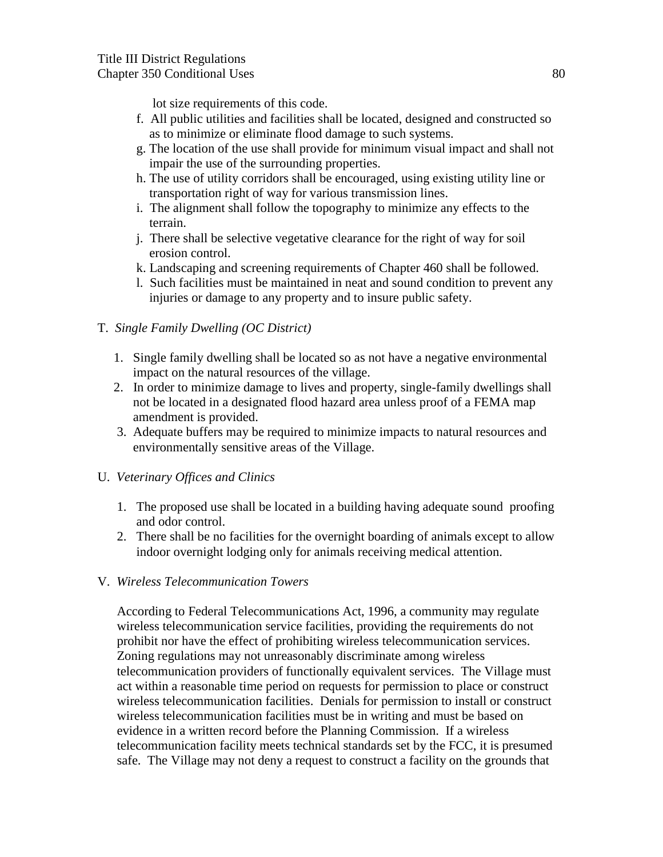lot size requirements of this code.

- f. All public utilities and facilities shall be located, designed and constructed so as to minimize or eliminate flood damage to such systems.
- g. The location of the use shall provide for minimum visual impact and shall not impair the use of the surrounding properties.
- h. The use of utility corridors shall be encouraged, using existing utility line or transportation right of way for various transmission lines.
- i. The alignment shall follow the topography to minimize any effects to the terrain.
- j. There shall be selective vegetative clearance for the right of way for soil erosion control.
- k. Landscaping and screening requirements of Chapter 460 shall be followed.
- l. Such facilities must be maintained in neat and sound condition to prevent any injuries or damage to any property and to insure public safety.

# T. *Single Family Dwelling (OC District)*

- 1. Single family dwelling shall be located so as not have a negative environmental impact on the natural resources of the village.
- 2. In order to minimize damage to lives and property, single-family dwellings shall not be located in a designated flood hazard area unless proof of a FEMA map amendment is provided.
- 3. Adequate buffers may be required to minimize impacts to natural resources and environmentally sensitive areas of the Village.

# U. *Veterinary Offices and Clinics*

- 1. The proposed use shall be located in a building having adequate sound proofing and odor control.
- 2. There shall be no facilities for the overnight boarding of animals except to allow indoor overnight lodging only for animals receiving medical attention.

### V. *Wireless Telecommunication Towers*

According to Federal Telecommunications Act, 1996, a community may regulate wireless telecommunication service facilities, providing the requirements do not prohibit nor have the effect of prohibiting wireless telecommunication services. Zoning regulations may not unreasonably discriminate among wireless telecommunication providers of functionally equivalent services. The Village must act within a reasonable time period on requests for permission to place or construct wireless telecommunication facilities. Denials for permission to install or construct wireless telecommunication facilities must be in writing and must be based on evidence in a written record before the Planning Commission. If a wireless telecommunication facility meets technical standards set by the FCC, it is presumed safe. The Village may not deny a request to construct a facility on the grounds that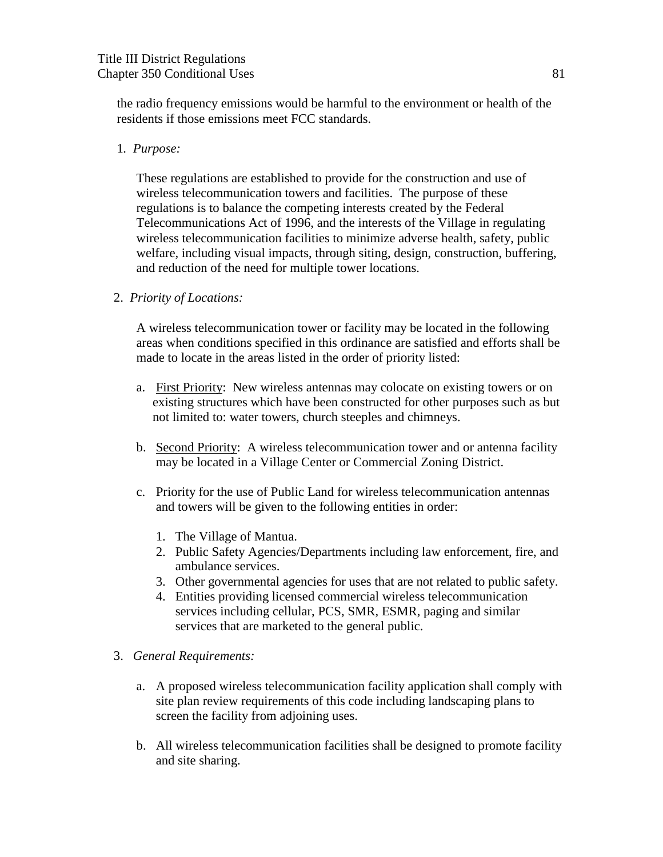the radio frequency emissions would be harmful to the environment or health of the residents if those emissions meet FCC standards.

#### 1*. Purpose:*

These regulations are established to provide for the construction and use of wireless telecommunication towers and facilities. The purpose of these regulations is to balance the competing interests created by the Federal Telecommunications Act of 1996, and the interests of the Village in regulating wireless telecommunication facilities to minimize adverse health, safety, public welfare, including visual impacts, through siting, design, construction, buffering, and reduction of the need for multiple tower locations.

#### 2. *Priority of Locations:*

A wireless telecommunication tower or facility may be located in the following areas when conditions specified in this ordinance are satisfied and efforts shall be made to locate in the areas listed in the order of priority listed:

- a. First Priority: New wireless antennas may colocate on existing towers or on existing structures which have been constructed for other purposes such as but not limited to: water towers, church steeples and chimneys.
- b. Second Priority: A wireless telecommunication tower and or antenna facility may be located in a Village Center or Commercial Zoning District.
- c. Priority for the use of Public Land for wireless telecommunication antennas and towers will be given to the following entities in order:
	- 1. The Village of Mantua.
	- 2. Public Safety Agencies/Departments including law enforcement, fire, and ambulance services.
	- 3. Other governmental agencies for uses that are not related to public safety.
	- 4. Entities providing licensed commercial wireless telecommunication services including cellular, PCS, SMR, ESMR, paging and similar services that are marketed to the general public.
- 3. *General Requirements:*
	- a. A proposed wireless telecommunication facility application shall comply with site plan review requirements of this code including landscaping plans to screen the facility from adjoining uses.
	- b. All wireless telecommunication facilities shall be designed to promote facility and site sharing.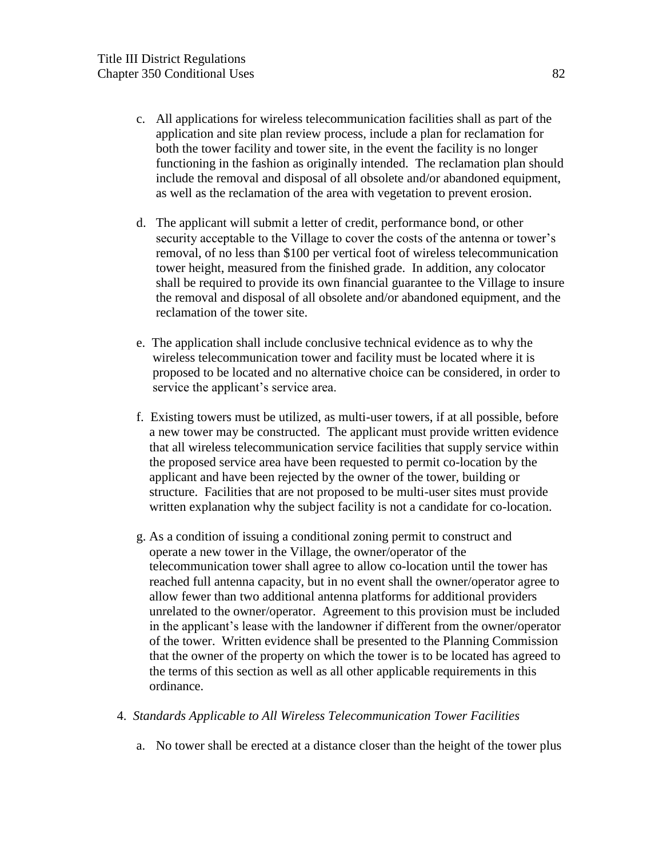- c. All applications for wireless telecommunication facilities shall as part of the application and site plan review process, include a plan for reclamation for both the tower facility and tower site, in the event the facility is no longer functioning in the fashion as originally intended. The reclamation plan should include the removal and disposal of all obsolete and/or abandoned equipment, as well as the reclamation of the area with vegetation to prevent erosion.
- d. The applicant will submit a letter of credit, performance bond, or other security acceptable to the Village to cover the costs of the antenna or tower's removal, of no less than \$100 per vertical foot of wireless telecommunication tower height, measured from the finished grade. In addition, any colocator shall be required to provide its own financial guarantee to the Village to insure the removal and disposal of all obsolete and/or abandoned equipment, and the reclamation of the tower site.
- e. The application shall include conclusive technical evidence as to why the wireless telecommunication tower and facility must be located where it is proposed to be located and no alternative choice can be considered, in order to service the applicant's service area.
- f. Existing towers must be utilized, as multi-user towers, if at all possible, before a new tower may be constructed. The applicant must provide written evidence that all wireless telecommunication service facilities that supply service within the proposed service area have been requested to permit co-location by the applicant and have been rejected by the owner of the tower, building or structure. Facilities that are not proposed to be multi-user sites must provide written explanation why the subject facility is not a candidate for co-location.
- g. As a condition of issuing a conditional zoning permit to construct and operate a new tower in the Village, the owner/operator of the telecommunication tower shall agree to allow co-location until the tower has reached full antenna capacity, but in no event shall the owner/operator agree to allow fewer than two additional antenna platforms for additional providers unrelated to the owner/operator. Agreement to this provision must be included in the applicant's lease with the landowner if different from the owner/operator of the tower. Written evidence shall be presented to the Planning Commission that the owner of the property on which the tower is to be located has agreed to the terms of this section as well as all other applicable requirements in this ordinance.
- 4.*Standards Applicable to All Wireless Telecommunication Tower Facilities*
	- a. No tower shall be erected at a distance closer than the height of the tower plus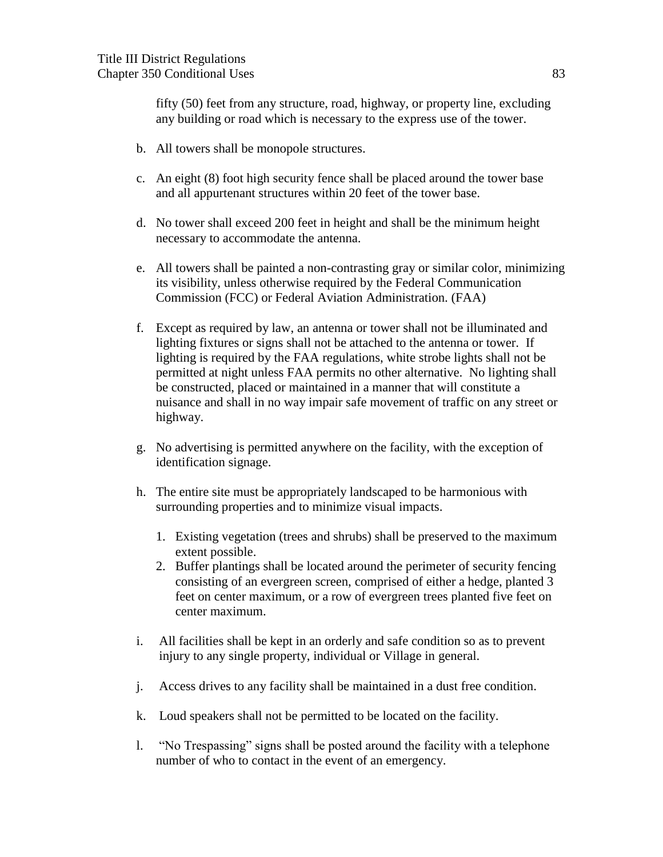fifty (50) feet from any structure, road, highway, or property line, excluding any building or road which is necessary to the express use of the tower.

- b. All towers shall be monopole structures.
- c. An eight (8) foot high security fence shall be placed around the tower base and all appurtenant structures within 20 feet of the tower base.
- d. No tower shall exceed 200 feet in height and shall be the minimum height necessary to accommodate the antenna.
- e. All towers shall be painted a non-contrasting gray or similar color, minimizing its visibility, unless otherwise required by the Federal Communication Commission (FCC) or Federal Aviation Administration. (FAA)
- f. Except as required by law, an antenna or tower shall not be illuminated and lighting fixtures or signs shall not be attached to the antenna or tower. If lighting is required by the FAA regulations, white strobe lights shall not be permitted at night unless FAA permits no other alternative. No lighting shall be constructed, placed or maintained in a manner that will constitute a nuisance and shall in no way impair safe movement of traffic on any street or highway.
- g. No advertising is permitted anywhere on the facility, with the exception of identification signage.
- h. The entire site must be appropriately landscaped to be harmonious with surrounding properties and to minimize visual impacts.
	- 1. Existing vegetation (trees and shrubs) shall be preserved to the maximum extent possible.
	- 2. Buffer plantings shall be located around the perimeter of security fencing consisting of an evergreen screen, comprised of either a hedge, planted 3 feet on center maximum, or a row of evergreen trees planted five feet on center maximum.
- i. All facilities shall be kept in an orderly and safe condition so as to prevent injury to any single property, individual or Village in general.
- j. Access drives to any facility shall be maintained in a dust free condition.
- k. Loud speakers shall not be permitted to be located on the facility.
- l. "No Trespassing" signs shall be posted around the facility with a telephone number of who to contact in the event of an emergency.